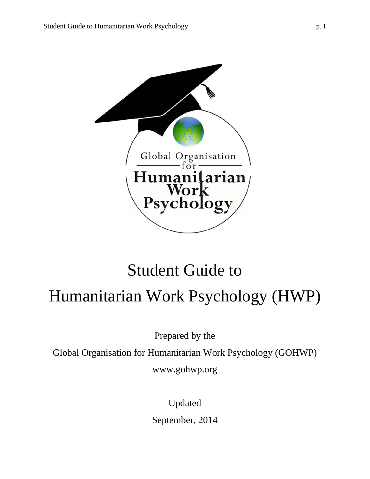

# Student Guide to Humanitarian Work Psychology (HWP)

Prepared by the

Global Organisation for Humanitarian Work Psychology (GOHWP)

www.gohwp.org

Updated September, 2014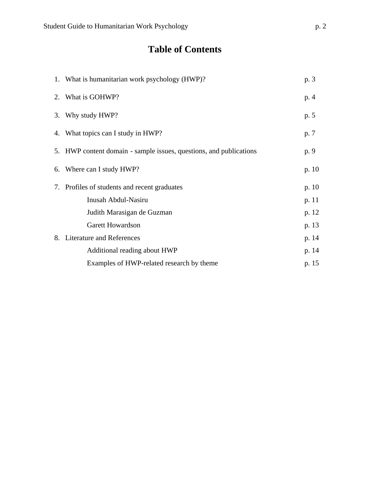# **Table of Contents**

|    | 1. What is humanitarian work psychology (HWP)?                  |       |  |  |
|----|-----------------------------------------------------------------|-------|--|--|
| 2. | What is GOHWP?                                                  | p. 4  |  |  |
| 3. | Why study HWP?                                                  | p. 5  |  |  |
| 4. | What topics can I study in HWP?                                 | p. 7  |  |  |
| 5. | HWP content domain - sample issues, questions, and publications | p. 9  |  |  |
| 6. | Where can I study HWP?                                          | p. 10 |  |  |
|    | 7. Profiles of students and recent graduates                    | p. 10 |  |  |
|    | Inusah Abdul-Nasiru                                             | p. 11 |  |  |
|    | Judith Marasigan de Guzman                                      | p. 12 |  |  |
|    | <b>Garett Howardson</b>                                         | p. 13 |  |  |
| 8. | <b>Literature and References</b>                                | p. 14 |  |  |
|    | Additional reading about HWP                                    | p. 14 |  |  |
|    | Examples of HWP-related research by theme                       | p. 15 |  |  |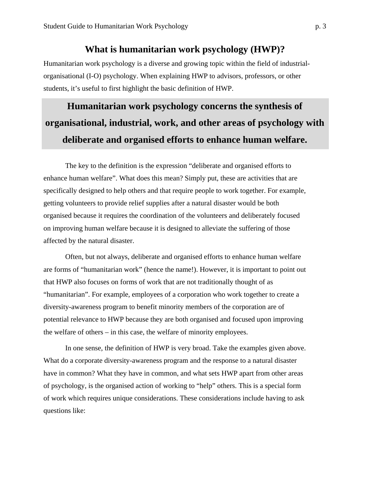### **What is humanitarian work psychology (HWP)?**

Humanitarian work psychology is a diverse and growing topic within the field of industrialorganisational (I-O) psychology. When explaining HWP to advisors, professors, or other students, it's useful to first highlight the basic definition of HWP.

# **Humanitarian work psychology concerns the synthesis of organisational, industrial, work, and other areas of psychology with deliberate and organised efforts to enhance human welfare.**

The key to the definition is the expression "deliberate and organised efforts to enhance human welfare". What does this mean? Simply put, these are activities that are specifically designed to help others and that require people to work together. For example, getting volunteers to provide relief supplies after a natural disaster would be both organised because it requires the coordination of the volunteers and deliberately focused on improving human welfare because it is designed to alleviate the suffering of those affected by the natural disaster.

Often, but not always, deliberate and organised efforts to enhance human welfare are forms of "humanitarian work" (hence the name!). However, it is important to point out that HWP also focuses on forms of work that are not traditionally thought of as "humanitarian". For example, employees of a corporation who work together to create a diversity-awareness program to benefit minority members of the corporation are of potential relevance to HWP because they are both organised and focused upon improving the welfare of others – in this case, the welfare of minority employees.

In one sense, the definition of HWP is very broad. Take the examples given above. What do a corporate diversity-awareness program and the response to a natural disaster have in common? What they have in common, and what sets HWP apart from other areas of psychology, is the organised action of working to "help" others. This is a special form of work which requires unique considerations. These considerations include having to ask questions like: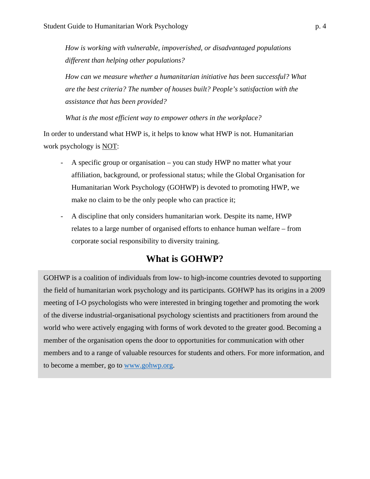*How is working with vulnerable, impoverished, or disadvantaged populations different than helping other populations?* 

*How can we measure whether a humanitarian initiative has been successful? What are the best criteria? The number of houses built? People's satisfaction with the assistance that has been provided?* 

*What is the most efficient way to empower others in the workplace?* 

In order to understand what HWP is, it helps to know what HWP is not. Humanitarian work psychology is NOT:

- A specific group or organisation you can study HWP no matter what your affiliation, background, or professional status; while the Global Organisation for Humanitarian Work Psychology (GOHWP) is devoted to promoting HWP, we make no claim to be the only people who can practice it;
- A discipline that only considers humanitarian work. Despite its name, HWP relates to a large number of organised efforts to enhance human welfare – from corporate social responsibility to diversity training.

# **What is GOHWP?**

GOHWP is a coalition of individuals from low- to high-income countries devoted to supporting the field of humanitarian work psychology and its participants. GOHWP has its origins in a 2009 meeting of I-O psychologists who were interested in bringing together and promoting the work of the diverse industrial-organisational psychology scientists and practitioners from around the world who were actively engaging with forms of work devoted to the greater good. Becoming a member of the organisation opens the door to opportunities for communication with other members and to a range of valuable resources for students and others. For more information, and to become a member, go to www.gohwp.org.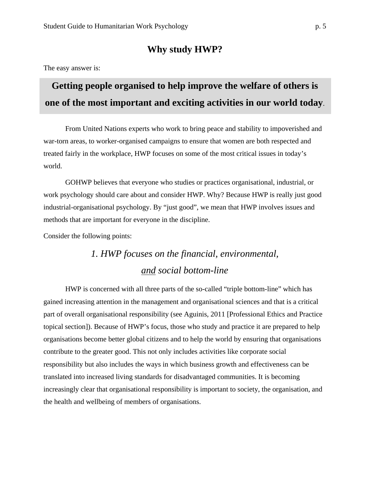### **Why study HWP?**

The easy answer is:

# **Getting people organised to help improve the welfare of others is one of the most important and exciting activities in our world today**.

From United Nations experts who work to bring peace and stability to impoverished and war-torn areas, to worker-organised campaigns to ensure that women are both respected and treated fairly in the workplace, HWP focuses on some of the most critical issues in today's world.

GOHWP believes that everyone who studies or practices organisational, industrial, or work psychology should care about and consider HWP. Why? Because HWP is really just good industrial-organisational psychology. By "just good", we mean that HWP involves issues and methods that are important for everyone in the discipline.

Consider the following points:

# *1. HWP focuses on the financial, environmental, and social bottom-line*

HWP is concerned with all three parts of the so-called "triple bottom-line" which has gained increasing attention in the management and organisational sciences and that is a critical part of overall organisational responsibility (see Aguinis, 2011 [Professional Ethics and Practice topical section]). Because of HWP's focus, those who study and practice it are prepared to help organisations become better global citizens and to help the world by ensuring that organisations contribute to the greater good. This not only includes activities like corporate social responsibility but also includes the ways in which business growth and effectiveness can be translated into increased living standards for disadvantaged communities. It is becoming increasingly clear that organisational responsibility is important to society, the organisation, and the health and wellbeing of members of organisations.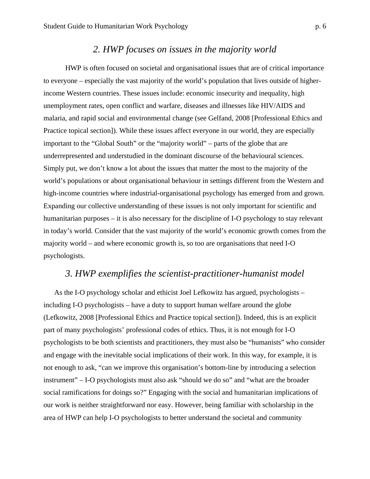### *2. HWP focuses on issues in the majority world*

HWP is often focused on societal and organisational issues that are of critical importance to everyone – especially the vast majority of the world's population that lives outside of higherincome Western countries. These issues include: economic insecurity and inequality, high unemployment rates, open conflict and warfare, diseases and illnesses like HIV/AIDS and malaria, and rapid social and environmental change (see Gelfand, 2008 [Professional Ethics and Practice topical section]). While these issues affect everyone in our world, they are especially important to the "Global South" or the "majority world" – parts of the globe that are underrepresented and understudied in the dominant discourse of the behavioural sciences. Simply put, we don't know a lot about the issues that matter the most to the majority of the world's populations or about organisational behaviour in settings different from the Western and high-income countries where industrial-organisational psychology has emerged from and grown. Expanding our collective understanding of these issues is not only important for scientific and humanitarian purposes – it is also necessary for the discipline of I-O psychology to stay relevant in today's world. Consider that the vast majority of the world's economic growth comes from the majority world – and where economic growth is, so too are organisations that need I-O psychologists.

# *3. HWP exemplifies the scientist-practitioner-humanist model*

As the I-O psychology scholar and ethicist Joel Lefkowitz has argued, psychologists – including I-O psychologists – have a duty to support human welfare around the globe (Lefkowitz, 2008 [Professional Ethics and Practice topical section]). Indeed, this is an explicit part of many psychologists' professional codes of ethics. Thus, it is not enough for I-O psychologists to be both scientists and practitioners, they must also be "humanists" who consider and engage with the inevitable social implications of their work. In this way, for example, it is not enough to ask, "can we improve this organisation's bottom-line by introducing a selection instrument" – I-O psychologists must also ask "should we do so" and "what are the broader social ramifications for doings so?" Engaging with the social and humanitarian implications of our work is neither straightforward nor easy. However, being familiar with scholarship in the area of HWP can help I-O psychologists to better understand the societal and community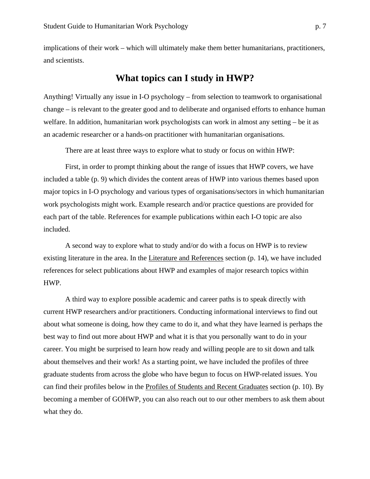implications of their work – which will ultimately make them better humanitarians, practitioners, and scientists.

## **What topics can I study in HWP?**

Anything! Virtually any issue in I-O psychology – from selection to teamwork to organisational change – is relevant to the greater good and to deliberate and organised efforts to enhance human welfare. In addition, humanitarian work psychologists can work in almost any setting – be it as an academic researcher or a hands-on practitioner with humanitarian organisations.

There are at least three ways to explore what to study or focus on within HWP:

First, in order to prompt thinking about the range of issues that HWP covers, we have included a table (p. 9) which divides the content areas of HWP into various themes based upon major topics in I-O psychology and various types of organisations/sectors in which humanitarian work psychologists might work. Example research and/or practice questions are provided for each part of the table. References for example publications within each I-O topic are also included.

A second way to explore what to study and/or do with a focus on HWP is to review existing literature in the area. In the Literature and References section (p. 14), we have included references for select publications about HWP and examples of major research topics within HWP.

A third way to explore possible academic and career paths is to speak directly with current HWP researchers and/or practitioners. Conducting informational interviews to find out about what someone is doing, how they came to do it, and what they have learned is perhaps the best way to find out more about HWP and what it is that you personally want to do in your career. You might be surprised to learn how ready and willing people are to sit down and talk about themselves and their work! As a starting point, we have included the profiles of three graduate students from across the globe who have begun to focus on HWP-related issues. You can find their profiles below in the Profiles of Students and Recent Graduates section (p. 10). By becoming a member of GOHWP, you can also reach out to our other members to ask them about what they do.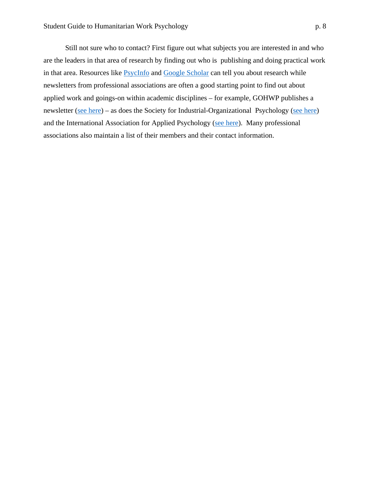Still not sure who to contact? First figure out what subjects you are interested in and who are the leaders in that area of research by finding out who is publishing and doing practical work in that area. Resources like PsycInfo and Google Scholar can tell you about research while newsletters from professional associations are often a good starting point to find out about applied work and goings-on within academic disciplines – for example, GOHWP publishes a newsletter (see here) – as does the Society for Industrial-Organizational Psychology (see here) and the International Association for Applied Psychology (see here). Many professional associations also maintain a list of their members and their contact information.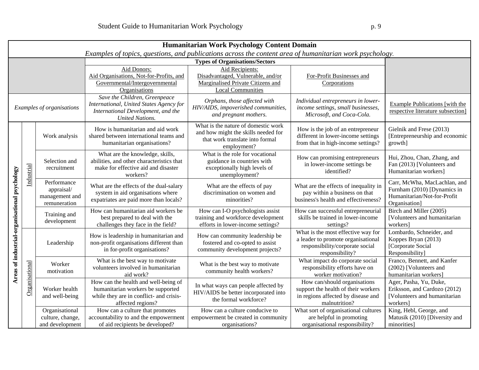|                                               |                |                                                             |                                                                                                                                           | Humanitarian Work Psychology Content Domain                                                                                  |                                                                                                                                |                                                                                                             |
|-----------------------------------------------|----------------|-------------------------------------------------------------|-------------------------------------------------------------------------------------------------------------------------------------------|------------------------------------------------------------------------------------------------------------------------------|--------------------------------------------------------------------------------------------------------------------------------|-------------------------------------------------------------------------------------------------------------|
|                                               |                |                                                             | Examples of topics, questions, and publications across the content area of humanitarian work psychology.                                  | <b>Types of Organisations/Sectors</b>                                                                                        |                                                                                                                                |                                                                                                             |
|                                               |                |                                                             |                                                                                                                                           |                                                                                                                              |                                                                                                                                |                                                                                                             |
|                                               |                |                                                             | Aid Donors:<br>Aid Organisations, Not-for-Profits, and<br>Governmental/Intergovernmental<br>Organisations                                 | Aid Recipients:<br>Disadvantaged, Vulnerable, and/or<br>Marginalised Private Citizens and<br><b>Local Communities</b>        | For-Profit Businesses and<br>Corporations                                                                                      |                                                                                                             |
| Examples of organisations                     |                |                                                             | Save the Children, Greenpeace<br>International, United States Agency for<br>International Development, and the<br><b>United Nations.</b>  | Orphans, those affected with<br>HIV/AIDS, impoverished communities,<br>and pregnant mothers.                                 | Individual entrepreneurs in lower-<br>income settings, small businesses,<br>Microsoft, and Coca-Cola.                          | Example Publications [with the<br>respective literature subsection]                                         |
| Areas of industrial-organisational psychology | Industrial     | Work analysis                                               | How is humanitarian and aid work<br>shared between international teams and<br>humanitarian organisations?                                 | What is the nature of domestic work<br>and how might the skills needed for<br>that work translate into formal<br>employment? | How is the job of an entrepreneur<br>different in lower-income settings<br>from that in high-income settings?                  | Gielnik and Frese (2013)<br>[Entrepreneurship and economic<br>growth]                                       |
|                                               |                | Selection and<br>recruitment                                | What are the knowledge, skills,<br>abilities, and other characteristics that<br>make for effective aid and disaster<br>workers?           | What is the role for vocational<br>guidance in countries with<br>exceptionally high levels of<br>unemployment?               | How can promising entrepreneurs<br>in lower-income settings be<br>identified?                                                  | Hui, Zhou, Chan, Zhang, and<br>Fan (2013) [Volunteers and<br>Humanitarian workers]                          |
|                                               |                | Performance<br>appraisal/<br>management and<br>remuneration | What are the effects of the dual-salary<br>system in aid organisations where<br>expatriates are paid more than locals?                    | What are the effects of pay<br>discrimination on women and<br>minorities?                                                    | What are the effects of inequality in<br>pay within a business on that<br>business's health and effectiveness?                 | Carr, McWha, MacLachlan, and<br>Furnham (2010) [Dynamics in<br>Humanitarian/Not-for-Profit<br>Organisation] |
|                                               |                | Training and<br>development                                 | How can humanitarian aid workers be<br>best prepared to deal with the<br>challenges they face in the field?                               | How can I-O psychologists assist<br>training and workforce development<br>efforts in lower-income settings?                  | How can successful entrepreneurial<br>skills be trained in lower-income<br>settings?                                           | Birch and Miller (2005)<br>[Volunteers and humanitarian<br>workers]                                         |
|                                               | Organisational | Leadership                                                  | How is leadership in humanitarian and<br>non-profit organisations different than<br>in for-profit organisations?                          | How can community leadership be<br>fostered and co-opted to assist<br>community development projects?                        | What is the most effective way for<br>a leader to promote organisational<br>responsibility/corporate social<br>responsibility? | Lombardo, Schneider, and<br>Koppes Bryan (2013)<br>[Corporate Social<br>Responsibility]                     |
|                                               |                | Worker<br>motivation                                        | What is the best way to motivate<br>volunteers involved in humanitarian<br>aid work?                                                      | What is the best way to motivate<br>community health workers?                                                                | What impact do corporate social<br>responsibility efforts have on<br>worker motivation?                                        | Franco, Bennett, and Kanfer<br>(2002) [Volunteers and<br>humanitarian workers]                              |
|                                               |                | Worker health<br>and well-being                             | How can the health and well-being of<br>humanitarian workers be supported<br>while they are in conflict- and crisis-<br>affected regions? | In what ways can people affected by<br>HIV/AIDS be better incorporated into<br>the formal workforce?                         | How can/should organisations<br>support the health of their workers<br>in regions affected by disease and<br>malnutrition?     | Ager, Pasha, Yu, Duke,<br>Eriksson, and Cardozo (2012)<br>[Volunteers and humanitarian<br>workers]          |
|                                               |                | Organisational<br>culture, change,<br>and development       | How can a culture that promotes<br>accountability to and the empowerment<br>of aid recipients be developed?                               | How can a culture conducive to<br>empowerment be created in community<br>organisations?                                      | What sort of organisational cultures<br>are helpful in promoting<br>organisational responsibility?                             | King, Hebl, George, and<br>Matusik (2010) [Diversity and<br>minorities]                                     |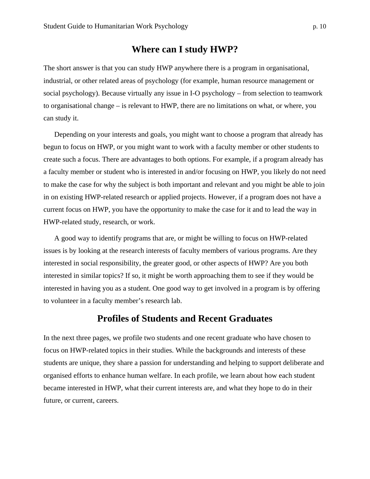### **Where can I study HWP?**

The short answer is that you can study HWP anywhere there is a program in organisational, industrial, or other related areas of psychology (for example, human resource management or social psychology). Because virtually any issue in I-O psychology – from selection to teamwork to organisational change – is relevant to HWP, there are no limitations on what, or where, you can study it.

Depending on your interests and goals, you might want to choose a program that already has begun to focus on HWP, or you might want to work with a faculty member or other students to create such a focus. There are advantages to both options. For example, if a program already has a faculty member or student who is interested in and/or focusing on HWP, you likely do not need to make the case for why the subject is both important and relevant and you might be able to join in on existing HWP-related research or applied projects. However, if a program does not have a current focus on HWP, you have the opportunity to make the case for it and to lead the way in HWP-related study, research, or work.

A good way to identify programs that are, or might be willing to focus on HWP-related issues is by looking at the research interests of faculty members of various programs. Are they interested in social responsibility, the greater good, or other aspects of HWP? Are you both interested in similar topics? If so, it might be worth approaching them to see if they would be interested in having you as a student. One good way to get involved in a program is by offering to volunteer in a faculty member's research lab.

# **Profiles of Students and Recent Graduates**

In the next three pages, we profile two students and one recent graduate who have chosen to focus on HWP-related topics in their studies. While the backgrounds and interests of these students are unique, they share a passion for understanding and helping to support deliberate and organised efforts to enhance human welfare. In each profile, we learn about how each student became interested in HWP, what their current interests are, and what they hope to do in their future, or current, careers.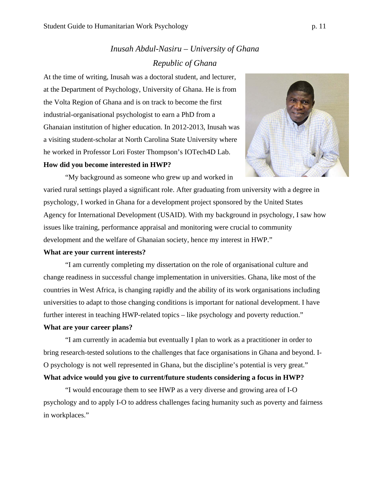# *Inusah Abdul-Nasiru – University of Ghana Republic of Ghana*

At the time of writing, Inusah was a doctoral student, and lecturer, at the Department of Psychology, University of Ghana. He is from the Volta Region of Ghana and is on track to become the first industrial-organisational psychologist to earn a PhD from a Ghanaian institution of higher education. In 2012-2013, Inusah was a visiting student-scholar at North Carolina State University where he worked in Professor Lori Foster Thompson's IOTech4D Lab.

### **How did you become interested in HWP?**



"My background as someone who grew up and worked in varied rural settings played a significant role. After graduating from university with a degree in psychology, I worked in Ghana for a development project sponsored by the United States Agency for International Development (USAID). With my background in psychology, I saw how issues like training, performance appraisal and monitoring were crucial to community development and the welfare of Ghanaian society, hence my interest in HWP."

### **What are your current interests?**

"I am currently completing my dissertation on the role of organisational culture and change readiness in successful change implementation in universities. Ghana, like most of the countries in West Africa, is changing rapidly and the ability of its work organisations including universities to adapt to those changing conditions is important for national development. I have further interest in teaching HWP-related topics – like psychology and poverty reduction."

### **What are your career plans?**

"I am currently in academia but eventually I plan to work as a practitioner in order to bring research-tested solutions to the challenges that face organisations in Ghana and beyond. I-O psychology is not well represented in Ghana, but the discipline's potential is very great."

### **What advice would you give to current/future students considering a focus in HWP?**

"I would encourage them to see HWP as a very diverse and growing area of I-O psychology and to apply I-O to address challenges facing humanity such as poverty and fairness in workplaces."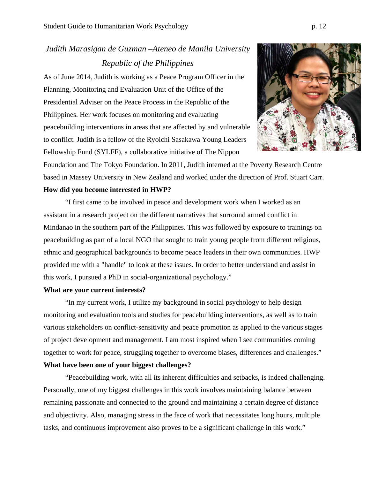# *Judith Marasigan de Guzman –Ateneo de Manila University Republic of the Philippines*

As of June 2014, Judith is working as a Peace Program Officer in the Planning, Monitoring and Evaluation Unit of the Office of the Presidential Adviser on the Peace Process in the Republic of the Philippines. Her work focuses on monitoring and evaluating peacebuilding interventions in areas that are affected by and vulnerable to conflict. Judith is a fellow of the Ryoichi Sasakawa Young Leaders Fellowship Fund (SYLFF), a collaborative initiative of The Nippon



Foundation and The Tokyo Foundation. In 2011, Judith interned at the Poverty Research Centre based in Massey University in New Zealand and worked under the direction of Prof. Stuart Carr. **How did you become interested in HWP?** 

"I first came to be involved in peace and development work when I worked as an assistant in a research project on the different narratives that surround armed conflict in Mindanao in the southern part of the Philippines. This was followed by exposure to trainings on peacebuilding as part of a local NGO that sought to train young people from different religious, ethnic and geographical backgrounds to become peace leaders in their own communities. HWP provided me with a "handle" to look at these issues. In order to better understand and assist in this work, I pursued a PhD in social-organizational psychology."

### **What are your current interests?**

"In my current work, I utilize my background in social psychology to help design monitoring and evaluation tools and studies for peacebuilding interventions, as well as to train various stakeholders on conflict-sensitivity and peace promotion as applied to the various stages of project development and management. I am most inspired when I see communities coming together to work for peace, struggling together to overcome biases, differences and challenges." **What have been one of your biggest challenges?** 

"Peacebuilding work, with all its inherent difficulties and setbacks, is indeed challenging. Personally, one of my biggest challenges in this work involves maintaining balance between remaining passionate and connected to the ground and maintaining a certain degree of distance and objectivity. Also, managing stress in the face of work that necessitates long hours, multiple tasks, and continuous improvement also proves to be a significant challenge in this work."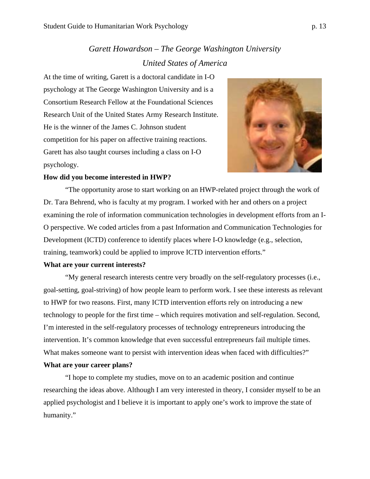# *Garett Howardson – The George Washington University United States of America*

At the time of writing, Garett is a doctoral candidate in I-O psychology at The George Washington University and is a Consortium Research Fellow at the Foundational Sciences Research Unit of the United States Army Research Institute. He is the winner of the James C. Johnson student competition for his paper on affective training reactions. Garett has also taught courses including a class on I-O psychology.



#### **How did you become interested in HWP?**

"The opportunity arose to start working on an HWP-related project through the work of Dr. Tara Behrend, who is faculty at my program. I worked with her and others on a project examining the role of information communication technologies in development efforts from an I-O perspective. We coded articles from a past Information and Communication Technologies for Development (ICTD) conference to identify places where I-O knowledge (e.g., selection, training, teamwork) could be applied to improve ICTD intervention efforts."

#### **What are your current interests?**

"My general research interests centre very broadly on the self-regulatory processes (i.e., goal-setting, goal-striving) of how people learn to perform work. I see these interests as relevant to HWP for two reasons. First, many ICTD intervention efforts rely on introducing a new technology to people for the first time – which requires motivation and self-regulation. Second, I'm interested in the self-regulatory processes of technology entrepreneurs introducing the intervention. It's common knowledge that even successful entrepreneurs fail multiple times. What makes someone want to persist with intervention ideas when faced with difficulties?" **What are your career plans?**

"I hope to complete my studies, move on to an academic position and continue researching the ideas above. Although I am very interested in theory, I consider myself to be an applied psychologist and I believe it is important to apply one's work to improve the state of humanity."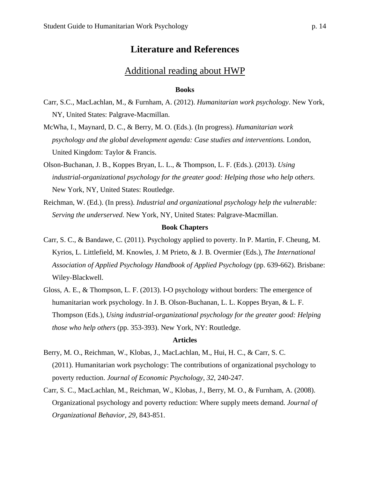### **Literature and References**

### Additional reading about HWP

### **Books**

- Carr, S.C., MacLachlan, M., & Furnham, A. (2012). *Humanitarian work psychology*. New York, NY, United States: Palgrave-Macmillan.
- McWha, I., Maynard, D. C., & Berry, M. O. (Eds.). (In progress). *Humanitarian work psychology and the global development agenda: Case studies and interventions.* London, United Kingdom: Taylor & Francis.
- Olson-Buchanan, J. B., Koppes Bryan, L. L., & Thompson, L. F. (Eds.). (2013). *Using industrial-organizational psychology for the greater good: Helping those who help others*. New York, NY, United States: Routledge.
- Reichman, W. (Ed.). (In press). *Industrial and organizational psychology help the vulnerable: Serving the underserved*. New York, NY, United States: Palgrave-Macmillan.

### **Book Chapters**

- Carr, S. C., & Bandawe, C. (2011). Psychology applied to poverty. In P. Martin, F. Cheung, M. Kyrios, L. Littlefield, M. Knowles, J. M Prieto, & J. B. Overmier (Eds.), *The International Association of Applied Psychology Handbook of Applied Psychology* (pp. 639-662). Brisbane: Wiley-Blackwell.
- Gloss, A. E., & Thompson, L. F. (2013). I-O psychology without borders: The emergence of humanitarian work psychology. In J. B. Olson-Buchanan, L. L. Koppes Bryan, & L. F. Thompson (Eds.), *Using industrial-organizational psychology for the greater good: Helping those who help others* (pp. 353-393). New York, NY: Routledge.

#### **Articles**

- Berry, M. O., Reichman, W., Klobas, J., MacLachlan, M., Hui, H. C., & Carr, S. C. (2011). Humanitarian work psychology: The contributions of organizational psychology to poverty reduction. *Journal of Economic Psychology*, *32*, 240-247.
- Carr, S. C., MacLachlan, M., Reichman, W., Klobas, J., Berry, M. O., & Furnham, A. (2008). Organizational psychology and poverty reduction: Where supply meets demand. *Journal of Organizational Behavior*, *29*, 843-851.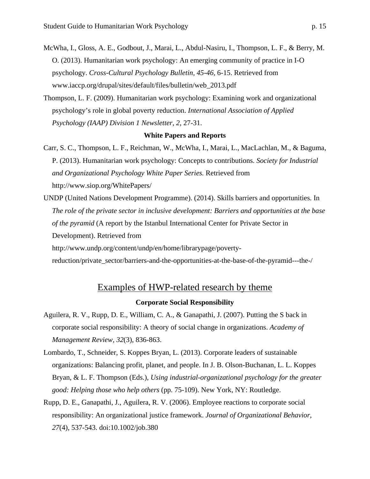- McWha, I., Gloss, A. E., Godbout, J., Marai, L., Abdul-Nasiru, I., Thompson, L. F., & Berry, M. O. (2013). Humanitarian work psychology: An emerging community of practice in I-O psychology. *Cross-Cultural Psychology Bulletin, 45-46,* 6-15. Retrieved from www.iaccp.org/drupal/sites/default/files/bulletin/web\_2013.pdf
- Thompson, L. F. (2009). Humanitarian work psychology: Examining work and organizational psychology's role in global poverty reduction. *International Association of Applied Psychology (IAAP) Division 1 Newsletter*, *2*, 27-31.

#### **White Papers and Reports**

- Carr, S. C., Thompson, L. F., Reichman, W., McWha, I., Marai, L., MacLachlan, M., & Baguma, P. (2013). Humanitarian work psychology: Concepts to contributions. *Society for Industrial and Organizational Psychology White Paper Series.* Retrieved from http://www.siop.org/WhitePapers/
- UNDP (United Nations Development Programme). (2014). Skills barriers and opportunities. In *The role of the private sector in inclusive development: Barriers and opportunities at the base of the pyramid* (A report by the Istanbul International Center for Private Sector in Development). Retrieved from http://www.undp.org/content/undp/en/home/librarypage/poverty-

reduction/private\_sector/barriers-and-the-opportunities-at-the-base-of-the-pyramid---the-/

# Examples of HWP-related research by theme

#### **Corporate Social Responsibility**

- Aguilera, R. V., Rupp, D. E., William, C. A., & Ganapathi, J. (2007). Putting the S back in corporate social responsibility: A theory of social change in organizations. *Academy of Management Review, 32*(3), 836-863.
- Lombardo, T., Schneider, S. Koppes Bryan, L. (2013). Corporate leaders of sustainable organizations: Balancing profit, planet, and people. In J. B. Olson-Buchanan, L. L. Koppes Bryan, & L. F. Thompson (Eds.), *Using industrial-organizational psychology for the greater good: Helping those who help others* (pp. 75-109). New York, NY: Routledge.
- Rupp, D. E., Ganapathi, J., Aguilera, R. V. (2006). Employee reactions to corporate social responsibility: An organizational justice framework. *Journal of Organizational Behavior, 27*(4), 537-543. doi:10.1002/job.380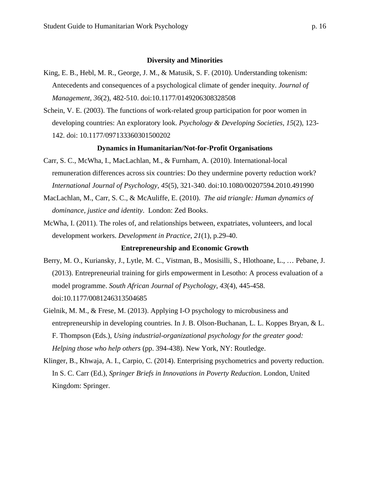#### **Diversity and Minorities**

- King, E. B., Hebl, M. R., George, J. M., & Matusik, S. F. (2010). Understanding tokenism: Antecedents and consequences of a psychological climate of gender inequity. *Journal of Management*, *36*(2), 482-510. doi:10.1177/0149206308328508
- Schein, V. E. (2003). The functions of work-related group participation for poor women in developing countries: An exploratory look. *Psychology & Developing Societies, 15*(2), 123- 142. doi: 10.1177/097133360301500202

### **Dynamics in Humanitarian/Not-for-Profit Organisations**

- Carr, S. C., McWha, I., MacLachlan, M., & Furnham, A. (2010). International-local remuneration differences across six countries: Do they undermine poverty reduction work? *International Journal of Psychology*, *45*(5), 321-340. doi:10.1080/00207594.2010.491990
- MacLachlan, M., Carr, S. C., & McAuliffe, E. (2010). *The aid triangle: Human dynamics of dominance, justice and identity*. London: Zed Books.
- McWha, I. (2011). The roles of, and relationships between, expatriates, volunteers, and local development workers. *Development in Practice*, *21*(1), p.29-40.

#### **Entrepreneurship and Economic Growth**

- Berry, M. O., Kuriansky, J., Lytle, M. C., Vistman, B., Mosisilli, S., Hlothoane, L., … Pebane, J. (2013). Entrepreneurial training for girls empowerment in Lesotho: A process evaluation of a model programme. *South African Journal of Psychology*, *43*(4), 445-458. doi:10.1177/0081246313504685
- Gielnik, M. M., & Frese, M. (2013). Applying I-O psychology to microbusiness and entrepreneurship in developing countries. In J. B. Olson-Buchanan, L. L. Koppes Bryan, & L. F. Thompson (Eds.), *Using industrial-organizational psychology for the greater good: Helping those who help others* (pp. 394-438). New York, NY: Routledge.
- Klinger, B., Khwaja, A. I., Carpio, C. (2014). Enterprising psychometrics and poverty reduction. In S. C. Carr (Ed.), *Springer Briefs in Innovations in Poverty Reduction*. London, United Kingdom: Springer.